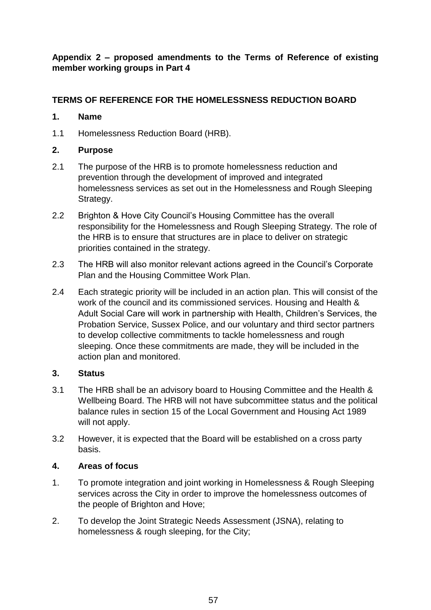**Appendix 2 – proposed amendments to the Terms of Reference of existing member working groups in Part 4**

# **TERMS OF REFERENCE FOR THE HOMELESSNESS REDUCTION BOARD**

## **1. Name**

1.1 Homelessness Reduction Board (HRB).

## **2. Purpose**

- 2.1 The purpose of the HRB is to promote homelessness reduction and prevention through the development of improved and integrated homelessness services as set out in the Homelessness and Rough Sleeping Strategy.
- 2.2 Brighton & Hove City Council's Housing Committee has the overall responsibility for the Homelessness and Rough Sleeping Strategy. The role of the HRB is to ensure that structures are in place to deliver on strategic priorities contained in the strategy.
- 2.3 The HRB will also monitor relevant actions agreed in the Council's Corporate Plan and the Housing Committee Work Plan.
- 2.4 Each strategic priority will be included in an action plan. This will consist of the work of the council and its commissioned services. Housing and Health & Adult Social Care will work in partnership with Health, Children's Services, the Probation Service, Sussex Police, and our voluntary and third sector partners to develop collective commitments to tackle homelessness and rough sleeping. Once these commitments are made, they will be included in the action plan and monitored.

#### **3. Status**

- 3.1 The HRB shall be an advisory board to Housing Committee and the Health & Wellbeing Board. The HRB will not have subcommittee status and the political balance rules in section 15 of the Local Government and Housing Act 1989 will not apply.
- 3.2 However, it is expected that the Board will be established on a cross party basis.

#### **4. Areas of focus**

- 1. To promote integration and joint working in Homelessness & Rough Sleeping services across the City in order to improve the homelessness outcomes of the people of Brighton and Hove;
- 2. To develop the Joint Strategic Needs Assessment (JSNA), relating to homelessness & rough sleeping, for the City;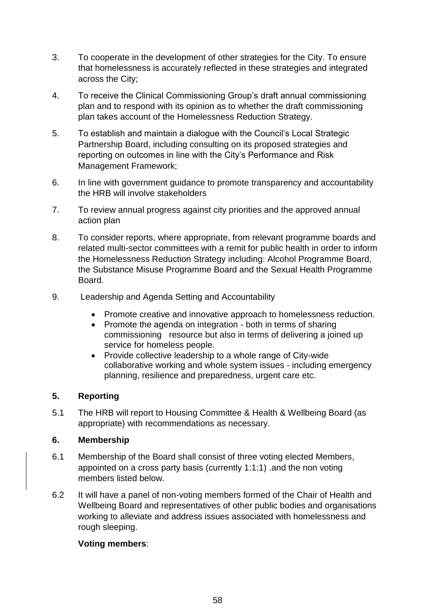- 3. To cooperate in the development of other strategies for the City. To ensure that homelessness is accurately reflected in these strategies and integrated across the City;
- 4. To receive the Clinical Commissioning Group's draft annual commissioning plan and to respond with its opinion as to whether the draft commissioning plan takes account of the Homelessness Reduction Strategy.
- 5. To establish and maintain a dialogue with the Council's Local Strategic Partnership Board, including consulting on its proposed strategies and reporting on outcomes in line with the City's Performance and Risk Management Framework;
- 6. In line with government guidance to promote transparency and accountability the HRB will involve stakeholders
- 7. To review annual progress against city priorities and the approved annual action plan
- 8. To consider reports, where appropriate, from relevant programme boards and related multi-sector committees with a remit for public health in order to inform the Homelessness Reduction Strategy including: Alcohol Programme Board, the Substance Misuse Programme Board and the Sexual Health Programme Board.
- 9. Leadership and Agenda Setting and Accountability
	- Promote creative and innovative approach to homelessness reduction.
	- Promote the agenda on integration both in terms of sharing commissioning resource but also in terms of delivering a joined up service for homeless people.
	- Provide collective leadership to a whole range of City-wide collaborative working and whole system issues - including emergency planning, resilience and preparedness, urgent care etc.

## **5. Reporting**

5.1 The HRB will report to Housing Committee & Health & Wellbeing Board (as appropriate) with recommendations as necessary.

#### **6. Membership**

- 6.1 Membership of the Board shall consist of three voting elected Members, appointed on a cross party basis (currently 1:1:1) .and the non voting members listed below.
- 6.2 It will have a panel of non-voting members formed of the Chair of Health and Wellbeing Board and representatives of other public bodies and organisations working to alleviate and address issues associated with homelessness and rough sleeping.

## **Voting members**: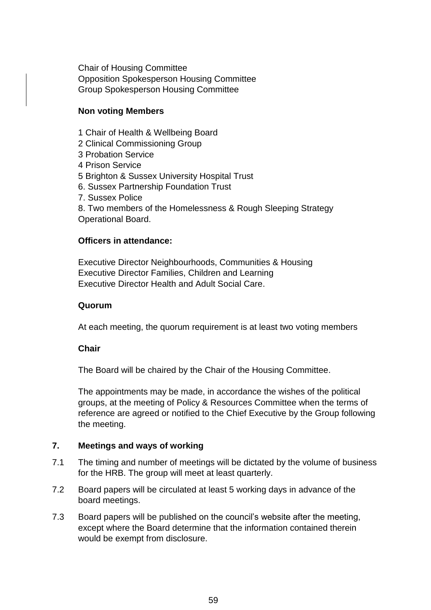Chair of Housing Committee Opposition Spokesperson Housing Committee Group Spokesperson Housing Committee

## **Non voting Members**

- 1 Chair of Health & Wellbeing Board
- 2 Clinical Commissioning Group
- 3 Probation Service
- 4 Prison Service
- 5 Brighton & Sussex University Hospital Trust
- 6. Sussex Partnership Foundation Trust
- 7. Sussex Police
- 8. Two members of the Homelessness & Rough Sleeping Strategy Operational Board.

## **Officers in attendance:**

Executive Director Neighbourhoods, Communities & Housing Executive Director Families, Children and Learning Executive Director Health and Adult Social Care.

#### **Quorum**

At each meeting, the quorum requirement is at least two voting members

#### **Chair**

The Board will be chaired by the Chair of the Housing Committee.

The appointments may be made, in accordance the wishes of the political groups, at the meeting of Policy & Resources Committee when the terms of reference are agreed or notified to the Chief Executive by the Group following the meeting.

#### **7. Meetings and ways of working**

- 7.1 The timing and number of meetings will be dictated by the volume of business for the HRB. The group will meet at least quarterly.
- 7.2 Board papers will be circulated at least 5 working days in advance of the board meetings.
- 7.3 Board papers will be published on the council's website after the meeting, except where the Board determine that the information contained therein would be exempt from disclosure.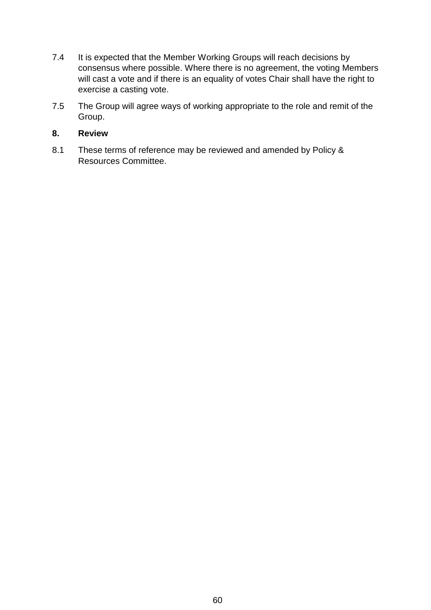- 7.4 It is expected that the Member Working Groups will reach decisions by consensus where possible. Where there is no agreement, the voting Members will cast a vote and if there is an equality of votes Chair shall have the right to exercise a casting vote.
- 7.5 The Group will agree ways of working appropriate to the role and remit of the Group.

### **8. Review**

8.1 These terms of reference may be reviewed and amended by Policy & Resources Committee.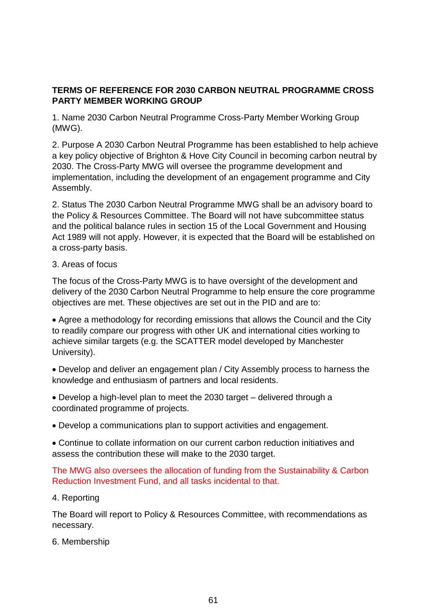## **TERMS OF REFERENCE FOR 2030 CARBON NEUTRAL PROGRAMME CROSS PARTY MEMBER WORKING GROUP**

1. Name 2030 Carbon Neutral Programme Cross-Party Member Working Group (MWG).

2. Purpose A 2030 Carbon Neutral Programme has been established to help achieve a key policy objective of Brighton & Hove City Council in becoming carbon neutral by 2030. The Cross-Party MWG will oversee the programme development and implementation, including the development of an engagement programme and City Assembly.

2. Status The 2030 Carbon Neutral Programme MWG shall be an advisory board to the Policy & Resources Committee. The Board will not have subcommittee status and the political balance rules in section 15 of the Local Government and Housing Act 1989 will not apply. However, it is expected that the Board will be established on a cross-party basis.

## 3. Areas of focus

The focus of the Cross-Party MWG is to have oversight of the development and delivery of the 2030 Carbon Neutral Programme to help ensure the core programme objectives are met. These objectives are set out in the PID and are to:

 Agree a methodology for recording emissions that allows the Council and the City to readily compare our progress with other UK and international cities working to achieve similar targets (e.g. the SCATTER model developed by Manchester University).

 Develop and deliver an engagement plan / City Assembly process to harness the knowledge and enthusiasm of partners and local residents.

 Develop a high-level plan to meet the 2030 target – delivered through a coordinated programme of projects.

Develop a communications plan to support activities and engagement.

 Continue to collate information on our current carbon reduction initiatives and assess the contribution these will make to the 2030 target.

The MWG also oversees the allocation of funding from the Sustainability & Carbon Reduction Investment Fund, and all tasks incidental to that.

#### 4. Reporting

The Board will report to Policy & Resources Committee, with recommendations as necessary.

#### 6. Membership